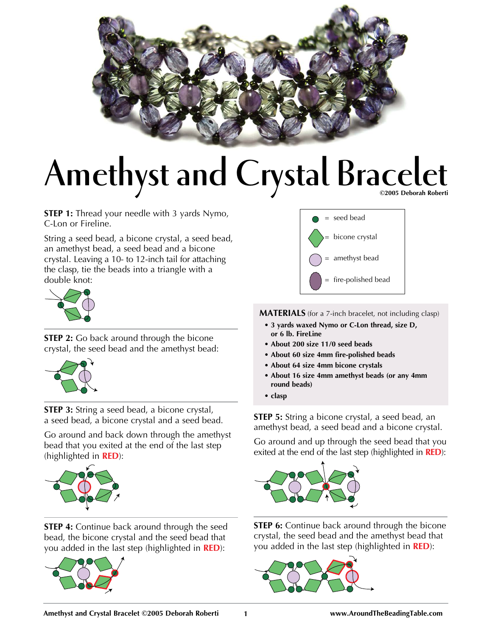

## Amethyst and Crystal Bracelet

**STEP 1:** Thread your needle with 3 yards Nymo, C-Lon or Fireline.

String a seed bead, a bicone crystal, a seed bead, an amethyst bead, a seed bead and a bicone crystal. Leaving a 10- to 12-inch tail for attaching the clasp, tie the beads into a triangle with a double knot:



**STEP 2:** Go back around through the bicone crystal, the seed bead and the amethyst bead:



**STEP 3:** String a seed bead, a bicone crystal, a seed bead, a bicone crystal and a seed bead.

Go around and back down through the amethyst bead that you exited at the end of the last step (highlighted in **RED**):



**STEP 4:** Continue back around through the seed bead, the bicone crystal and the seed bead that you added in the last step (highlighted in **RED**):





**MATERIALS** (for a 7-inch bracelet, not including clasp)

- **3 yards waxed Nymo or C-Lon thread, size D, or 6 lb. FireLine**
- **About 200 size 11/0 seed beads**
- **About 60 size 4mm fire-polished beads**
- **About 64 size 4mm bicone crystals**
- **About 16 size 4mm amethyst beads (or any 4mm round beads)**
- **clasp**

**STEP 5:** String a bicone crystal, a seed bead, an amethyst bead, a seed bead and a bicone crystal.

Go around and up through the seed bead that you exited at the end of the last step (highlighted in **RED**):



**STEP 6:** Continue back around through the bicone crystal, the seed bead and the amethyst bead that you added in the last step (highlighted in **RED**):

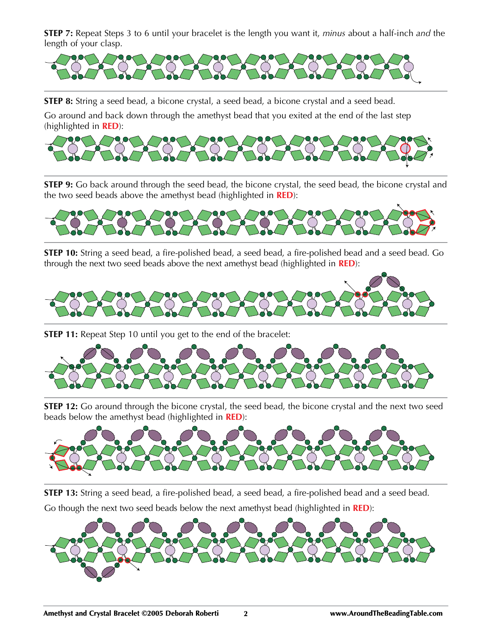**STEP 7:** Repeat Steps 3 to 6 until your bracelet is the length you want it, *minus* about a half-inch *and* the length of your clasp.



**STEP 8:** String a seed bead, a bicone crystal, a seed bead, a bicone crystal and a seed bead.

Go around and back down through the amethyst bead that you exited at the end of the last step (highlighted in **RED**):



**STEP 9:** Go back around through the seed bead, the bicone crystal, the seed bead, the bicone crystal and the two seed beads above the amethyst bead (highlighted in **RED**):



**STEP 10:** String a seed bead, a fire-polished bead, a seed bead, a fire-polished bead and a seed bead. Go through the next two seed beads above the next amethyst bead (highlighted in **RED**):



**STEP 11:** Repeat Step 10 until you get to the end of the bracelet:



**STEP 12:** Go around through the bicone crystal, the seed bead, the bicone crystal and the next two seed beads below the amethyst bead (highlighted in **RED**):



**STEP 13:** String a seed bead, a fire-polished bead, a seed bead, a fire-polished bead and a seed bead. Go though the next two seed beads below the next amethyst bead (highlighted in **RED**):